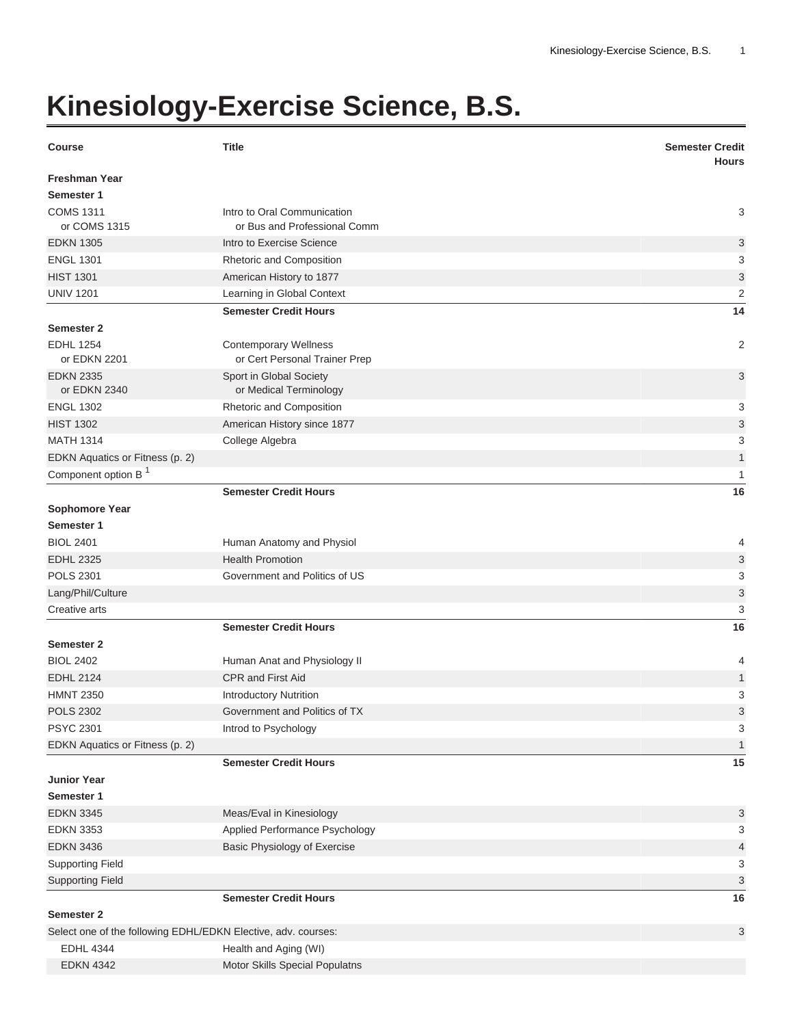## **Kinesiology-Exercise Science, B.S.**

| <b>Course</b>                                                 | <b>Title</b>                                                  | <b>Semester Credit</b><br><b>Hours</b> |
|---------------------------------------------------------------|---------------------------------------------------------------|----------------------------------------|
| <b>Freshman Year</b>                                          |                                                               |                                        |
| Semester 1<br><b>COMS 1311</b>                                | Intro to Oral Communication                                   | 3                                      |
| or COMS 1315                                                  | or Bus and Professional Comm                                  |                                        |
| <b>EDKN 1305</b>                                              | Intro to Exercise Science                                     | 3                                      |
| <b>ENGL 1301</b>                                              | Rhetoric and Composition                                      | 3                                      |
| <b>HIST 1301</b>                                              | American History to 1877                                      | 3                                      |
| <b>UNIV 1201</b>                                              | Learning in Global Context                                    | $\overline{2}$                         |
|                                                               | <b>Semester Credit Hours</b>                                  | 14                                     |
| Semester 2                                                    |                                                               |                                        |
| <b>EDHL 1254</b><br>or EDKN 2201                              | <b>Contemporary Wellness</b><br>or Cert Personal Trainer Prep | 2                                      |
| <b>EDKN 2335</b><br>or EDKN 2340                              | Sport in Global Society<br>or Medical Terminology             | 3                                      |
| <b>ENGL 1302</b>                                              | Rhetoric and Composition                                      | 3                                      |
| <b>HIST 1302</b>                                              | American History since 1877                                   | 3                                      |
| <b>MATH 1314</b>                                              | College Algebra                                               | 3                                      |
| EDKN Aquatics or Fitness (p. 2)                               |                                                               | $\mathbf{1}$                           |
| Component option B <sup>1</sup>                               |                                                               | 1                                      |
|                                                               | <b>Semester Credit Hours</b>                                  | 16                                     |
| Sophomore Year                                                |                                                               |                                        |
| Semester 1                                                    |                                                               |                                        |
| <b>BIOL 2401</b>                                              | Human Anatomy and Physiol                                     | 4                                      |
| <b>EDHL 2325</b>                                              | <b>Health Promotion</b>                                       | 3                                      |
| <b>POLS 2301</b>                                              | Government and Politics of US                                 | 3                                      |
| Lang/Phil/Culture                                             |                                                               | 3                                      |
| Creative arts                                                 |                                                               | 3                                      |
|                                                               | <b>Semester Credit Hours</b>                                  | 16                                     |
| <b>Semester 2</b>                                             |                                                               |                                        |
| <b>BIOL 2402</b>                                              | Human Anat and Physiology II                                  | 4                                      |
| <b>EDHL 2124</b>                                              | <b>CPR and First Aid</b>                                      | 1                                      |
| <b>HMNT 2350</b>                                              | <b>Introductory Nutrition</b>                                 | 3                                      |
| <b>POLS 2302</b>                                              | Government and Politics of TX                                 | 3                                      |
| <b>PSYC 2301</b>                                              | Introd to Psychology                                          | 3                                      |
| EDKN Aquatics or Fitness (p. 2)                               |                                                               | 1                                      |
|                                                               | <b>Semester Credit Hours</b>                                  | 15                                     |
| <b>Junior Year</b>                                            |                                                               |                                        |
| Semester 1                                                    |                                                               |                                        |
| <b>EDKN 3345</b><br><b>EDKN 3353</b>                          | Meas/Eval in Kinesiology<br>Applied Performance Psychology    | 3<br>3                                 |
| <b>EDKN 3436</b>                                              | Basic Physiology of Exercise                                  | 4                                      |
| <b>Supporting Field</b>                                       |                                                               | 3                                      |
| <b>Supporting Field</b>                                       |                                                               | 3                                      |
|                                                               | <b>Semester Credit Hours</b>                                  | 16                                     |
| Semester 2                                                    |                                                               |                                        |
| Select one of the following EDHL/EDKN Elective, adv. courses: |                                                               | 3                                      |
| <b>EDHL 4344</b>                                              | Health and Aging (WI)                                         |                                        |
| <b>EDKN 4342</b>                                              | Motor Skills Special Populatns                                |                                        |